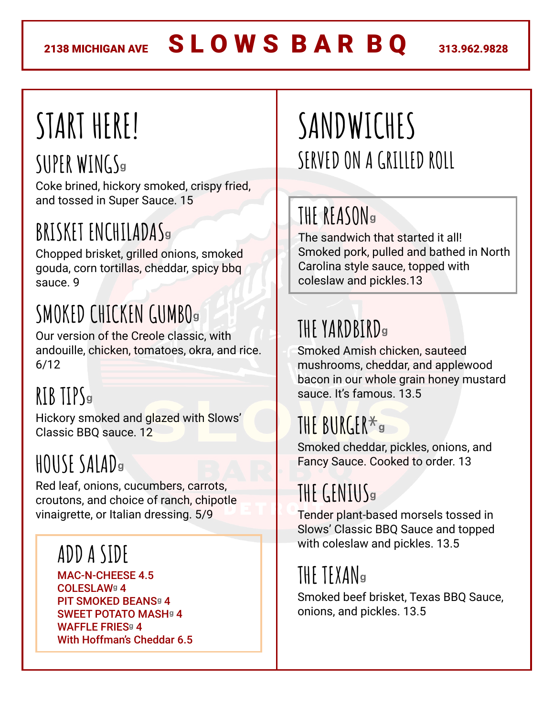# **START HERE!**

### **SUPER WINGS<sup>ᶢ</sup>**

Coke brined, hickory smoked, crispy fried, and tossed in Super Sauce. 15

### **BRISKET ENCHILADAS<sup>ᶢ</sup>**

Chopped brisket, grilled onions, smoked gouda, corn tortillas, cheddar, spicy bbq sauce. 9

### **SMOKEDCHICKEN GUMBO<sup>ᶢ</sup>**

Our version of the Creole classic, with andouille, chicken, tomatoes, okra, and rice. 6/12

### **RIB TIPS<sup>ᶢ</sup>**

Hickory smoked and glazed with Slows' Classic BBQ sauce. 12

### **HOUSE SALAD<sup>ᶢ</sup>**

Red leaf, onions, cucumbers, carrots, croutons, and choice of ranch, chipotle vinaigrette, or Italian dressing. 5/9

#### **ADDA SIDE**

MAC-N-CHEESE 4.5 COLESLAW**ᶢ** 4 **PIT SMOKED BEANS<sup>9</sup> 4** SWEET POTATO MASH**ᶢ** 4 WAFFLE FRIES**ᶢ** 4 With Hoffman's Cheddar 6.5

### **SANDWICHES** SERVED ON A GRILLED ROLL

#### **THE REASON<sup>ᶢ</sup>**

The sandwich that started it all! Smoked pork, pulled and bathed in North Carolina style sauce, topped with coleslaw and pickles.13

### **THE YARDBIRD<sup>ᶢ</sup>**

Smoked Amish chicken, sauteed mushrooms, cheddar, and applewood bacon in our whole grain honey mustard sauce. It's famous. 13.5

### **THE BURGER\*<sup>ᶢ</sup>**

Smoked cheddar, pickles, onions, and Fancy Sauce. Cooked to order. 13

### **THEGENIUS<sup>ᶢ</sup>**

Tender plant-based morsels tossed in Slows' Classic BBQ Sauce and topped with coleslaw and pickles. 13.5

### **THE TEXAN<sup>ᶢ</sup>**

Smoked beef brisket, Texas BBQ Sauce, onions, and pickles. 13.5